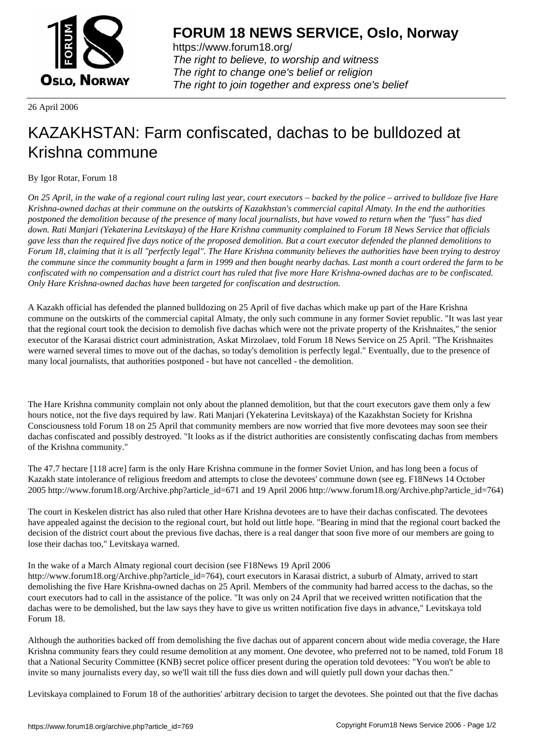

https://www.forum18.org/ The right to believe, to worship and witness The right to change one's belief or religion [The right to join together a](https://www.forum18.org/)nd express one's belief

26 April 2006

## [KAZAKHSTAN:](https://www.forum18.org) Farm confiscated, dachas to be bulldozed at Krishna commune

## By Igor Rotar, Forum 18

*On 25 April, in the wake of a regional court ruling last year, court executors – backed by the police – arrived to bulldoze five Hare Krishna-owned dachas at their commune on the outskirts of Kazakhstan's commercial capital Almaty. In the end the authorities postponed the demolition because of the presence of many local journalists, but have vowed to return when the "fuss" has died down. Rati Manjari (Yekaterina Levitskaya) of the Hare Krishna community complained to Forum 18 News Service that officials gave less than the required five days notice of the proposed demolition. But a court executor defended the planned demolitions to Forum 18, claiming that it is all "perfectly legal". The Hare Krishna community believes the authorities have been trying to destroy the commune since the community bought a farm in 1999 and then bought nearby dachas. Last month a court ordered the farm to be confiscated with no compensation and a district court has ruled that five more Hare Krishna-owned dachas are to be confiscated. Only Hare Krishna-owned dachas have been targeted for confiscation and destruction.*

A Kazakh official has defended the planned bulldozing on 25 April of five dachas which make up part of the Hare Krishna commune on the outskirts of the commercial capital Almaty, the only such commune in any former Soviet republic. "It was last year that the regional court took the decision to demolish five dachas which were not the private property of the Krishnaites," the senior executor of the Karasai district court administration, Askat Mirzolaev, told Forum 18 News Service on 25 April. "The Krishnaites were warned several times to move out of the dachas, so today's demolition is perfectly legal." Eventually, due to the presence of many local journalists, that authorities postponed - but have not cancelled - the demolition.

The Hare Krishna community complain not only about the planned demolition, but that the court executors gave them only a few hours notice, not the five days required by law. Rati Manjari (Yekaterina Levitskaya) of the Kazakhstan Society for Krishna Consciousness told Forum 18 on 25 April that community members are now worried that five more devotees may soon see their dachas confiscated and possibly destroyed. "It looks as if the district authorities are consistently confiscating dachas from members of the Krishna community."

The 47.7 hectare [118 acre] farm is the only Hare Krishna commune in the former Soviet Union, and has long been a focus of Kazakh state intolerance of religious freedom and attempts to close the devotees' commune down (see eg. F18News 14 October 2005 http://www.forum18.org/Archive.php?article\_id=671 and 19 April 2006 http://www.forum18.org/Archive.php?article\_id=764)

The court in Keskelen district has also ruled that other Hare Krishna devotees are to have their dachas confiscated. The devotees have appealed against the decision to the regional court, but hold out little hope. "Bearing in mind that the regional court backed the decision of the district court about the previous five dachas, there is a real danger that soon five more of our members are going to lose their dachas too," Levitskaya warned.

## In the wake of a March Almaty regional court decision (see F18News 19 April 2006

http://www.forum18.org/Archive.php?article\_id=764), court executors in Karasai district, a suburb of Almaty, arrived to start demolishing the five Hare Krishna-owned dachas on 25 April. Members of the community had barred access to the dachas, so the court executors had to call in the assistance of the police. "It was only on 24 April that we received written notification that the dachas were to be demolished, but the law says they have to give us written notification five days in advance," Levitskaya told Forum 18.

Although the authorities backed off from demolishing the five dachas out of apparent concern about wide media coverage, the Hare Krishna community fears they could resume demolition at any moment. One devotee, who preferred not to be named, told Forum 18 that a National Security Committee (KNB) secret police officer present during the operation told devotees: "You won't be able to invite so many journalists every day, so we'll wait till the fuss dies down and will quietly pull down your dachas then."

Levitskaya complained to Forum 18 of the authorities' arbitrary decision to target the devotees. She pointed out that the five dachas